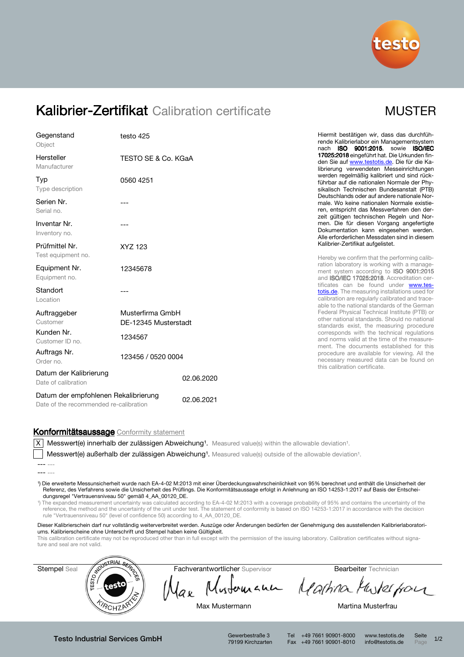

# Kalibrier-Zertifikat Calibration certificate MUSTER

| Gegenstand<br>Object                                                           | testo 425                                |            |  |
|--------------------------------------------------------------------------------|------------------------------------------|------------|--|
| Hersteller<br>Manufacturer                                                     | TESTO SE & Co. KGaA                      |            |  |
| Typ<br>Type description                                                        | 0560 4251                                |            |  |
| Serien Nr.<br>Serial no.                                                       | ---                                      |            |  |
| Inventar Nr.<br>Inventory no.                                                  |                                          |            |  |
| Prüfmittel Nr.<br>Test equipment no.                                           | XYZ 123                                  |            |  |
| Equipment Nr.<br>Equipment no.                                                 | 12345678                                 |            |  |
| Standort<br>Location                                                           |                                          |            |  |
| Auftraggeber<br>Customer                                                       | Musterfirma GmbH<br>DE-12345 Musterstadt |            |  |
| Kunden Nr.<br>Customer ID no.                                                  | 1234567                                  |            |  |
| Auftrags Nr.<br>Order no.                                                      | 123456 / 0520 0004                       |            |  |
| Datum der Kalibrierung<br>Date of calibration                                  |                                          | 02.06.2020 |  |
| Datum der empfohlenen Rekalibrierung<br>Date of the recommended re-calibration | 02.06.2021                               |            |  |

Hiermit bestätigen wir, dass das durchführende Kalibrierlabor ein Managementsystem nach ISO 9001:2015, sowie ISO/IEC 17025:2018 eingeführt hat. Die Urkunden finden Sie auf www.testotis.de. Die für die Kalibrierung verwendeten Messeinrichtungen werden regelmäßig kalibriert und sind rückführbar auf die nationalen Normale der Physikalisch Technischen Bundesanstalt (PTB) Deutschlands oder auf andere nationale Normale. Wo keine nationalen Normale existieren, entspricht das Messverfahren den derzeit gültigen technischen Regeln und Normen. Die für diesen Vorgang angefertigte Dokumentation kann eingesehen werden. Alle erforderlichen Messdaten sind in diesem Kalibrier-Zertifikat aufgelistet.

Hereby we confirm that the performing calibration laboratory is working with a management system according to **ISO 9001:2015** and ISO/IEC 17025:2018. Accreditation certificates can be found under www.testotis.de. The measuring installations used for calibration are regularly calibrated and traceable to the national standards of the German Federal Physical Technical Institute (PTB) or other national standards. Should no national standards exist, the measuring procedure corresponds with the technical regulations and norms valid at the time of the measurement. The documents established for this procedure are available for viewing. All the necessary measured data can be found on this calibration certificate.

### Konformitätsaussage Conformity statement

 $|X|$  Messwert(e) innerhalb der zulässigen Abweichung<sup>1</sup>. Measured value(s) within the allowable deviation<sup>1</sup>.

Messwert(e) außerhalb der zulässigen Abweichung<sup>1</sup>. Measured value(s) outside of the allowable deviation<sup>1</sup>.

¹) Die erweiterte Messunsicherheit wurde nach EA-4-02 M:2013 mit einer Überdeckungswahrscheinlichkeit von 95% berechnet und enthält die Unsicherheit der Referenz, des Verfahrens sowie die Unsicherheit des Prüflings. Die Konformitätsaussage erfolgt in Anlehnung an ISO 14253-1:2017 auf Basis der Entscheidungsregel "Vertrauensniveau 50" gemäß 4\_AA\_00120\_DE.

¹) The expanded measurement uncertainty was calculated according to EA-4-02 M:2013 with a coverage probability of 95% and contains the uncertainty of the reference, the method and the uncertainty of the unit under test. The statement of conformity is based on ISO 14253-1:2017 in accordance with the decision rule "Vertrauensniveau 50" (level of confidence 50) according to 4\_AA\_00120\_DE.

Dieser Kalibrierschein darf nur vollständig weiterverbreitet werden. Auszüge oder Änderungen bedürfen der Genehmigung des ausstellenden Kalibrierlaboratoriums. Kalibrierscheine ohne Unterschrift und Stempel haben keine Gültigkeit.

This calibration certificate may not be reproduced other than in full except with the permission of the issuing laboratory. Calibration certificates without signature and seal are not valid.



Testo Industrial Services GmbH Gewerbestraße 3

79199 Kirchzarten

Tel +49 7661 90901-8000 www.testotis.de Seite 1/2 Fax +49 7661 90901-8010 info@testotis.de Page

<sup>---</sup> ---